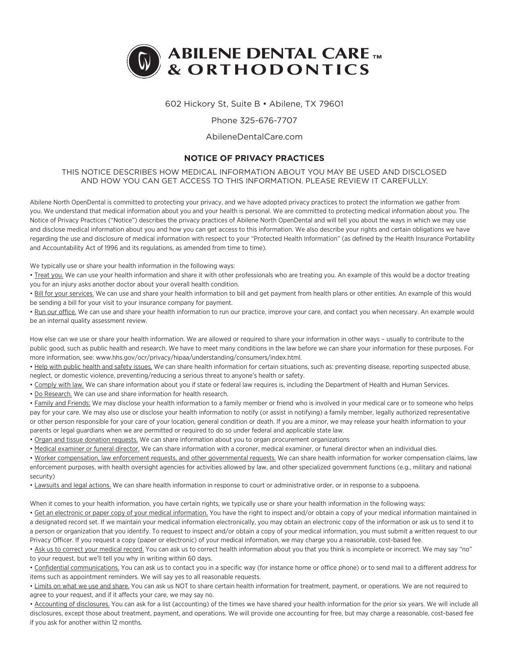

# 602 Hickory St, Suite B • Abilene, TX 79601

## Phone 325-676-7707

#### AbileneDentalCare.com

# **NOTICE OF PRIVACY PRACTICES**

## THIS NOTICE DESCRIBES HOW MEDICAL INFORMATION ABOUT YOU MAY BE USED AND DISCLOSED AND HOW YOU CAN GET ACCESS TO THIS INFORMATION. PLEASE REVIEW IT CAREFULLY.

Abilene North OpenDental is committed to protecting your privacy, and we have adopted privacy practices to protect the information we gather from you. We understand that medical information about you and your health is personal. We are committed to protecting medical information about you. The Notice of Privacy Practices ("Notice") describes the privacy practices of Abilene North OpenDental and will tell you about the ways in which we may use and disclose medical information about you and how you can get access to this information. We also describe your rights and certain obligations we have regarding the use and disclosure of medical information with respect to your "Protected Health Information" (as defined by the Health Insurance Portability and Accountability Act of 1996 and its regulations, as amended from time to time).

We typically use or share your health information in the following ways:

. Treat you. We can use your health information and share it with other professionals who are treating you. An example of this would be a doctor treating you for an injury asks another doctor about your overall health condition.

• Bill for your services. We can use and share your health information to bill and get payment from health plans or other entities. An example of this would be sending a bill for your visit to your insurance company for payment.

• Run our office. We can use and share your health information to run our practice, improve your care, and contact you when necessary. An example would be an internal quality assessment review.

How else can we use or share your health information. We are allowed or required to share your information in other ways – usually to contribute to the public good, such as public health and research. We have to meet many conditions in the law before we can share your information for these purposes. For more information, see: www.hhs.gov/ocr/privacy/hipaa/understanding/consumers/index.html.

• Help with public health and safety issues. We can share health information for certain situations, such as: preventing disease, reporting suspected abuse, neglect, or domestic violence, preventing/reducing a serious threat to anyone's health or safety.

. Comply with law. We can share information about you if state or federal law requires is, including the Department of Health and Human Services.

• Do Research. We can use and share information for health research.

• Family and Friends: We may disclose your health information to a family member or friend who is involved in your medical care or to someone who helps pay for your care. We may also use or disclose your health information to notify (or assist in notifying) a family member, legally authorized representative or other person responsible for your care of your location, general condition or death. If you are a minor, we may release your health information to your parents or legal guardians when we are permitted or required to do so under federal and applicable state law.

• Organ and tissue donation requests. We can share information about you to organ procurement organizations

• Medical examiner or funeral director. We can share information with a coroner, medical examiner, or funeral director when an individual dies.

• Worker compensation, law enforcement requests, and other governmental requests. We can share health information for worker compensation claims, law enforcement purposes, with health oversight agencies for activities allowed by law, and other specialized government functions (e.g., military and national security)

• Lawsuits and legal actions. We can share health information in response to court or administrative order, or in response to a subpoena.

When it comes to your health information, you have certain rights, we typically use or share your health information in the following ways:

• Get an electronic or paper copy of your medical information. You have the right to inspect and/or obtain a copy of your medical information maintained in a designated record set. If we maintain your medical information electronically, you may obtain an electronic copy of the information or ask us to send it to a person or organization that you identify. To request to inspect and/or obtain a copy of your medical information, you must submit a written request to our Privacy Officer. If you request a copy (paper or electronic) of your medical information, we may charge you a reasonable, cost-based fee.

• Ask us to correct your medical record. You can ask us to correct health information about you that you think is incomplete or incorrect. We may say "no" to your request, but we'll tell you why in writing within 60 days.

• Confidential communications. You can ask us to contact you in a specific way (for instance home or office phone) or to send mail to a different address for items such as appointment reminders. We will say yes to all reasonable requests.

• Limits on what we use and share. You can ask us NOT to share certain health information for treatment, payment, or operations. We are not required to agree to your request, and if it affects your care, we may say no.

• Accounting of disclosures. You can ask for a list (accounting) of the times we have shared your health information for the prior six years. We will include all disclosures, except those about treatment, payment, and operations. We will provide one accounting for free, but may charge a reasonable, cost-based fee if you ask for another within 12 months.